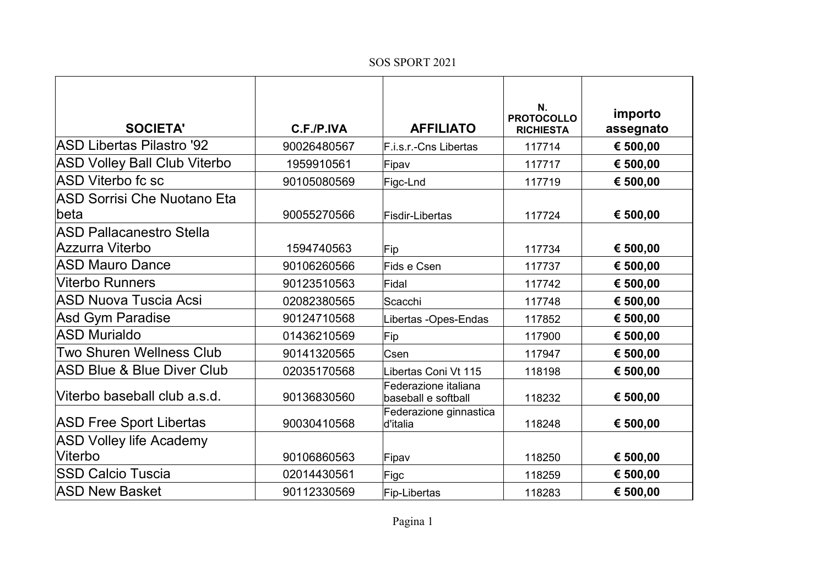## SOS SPORT 2021

| <b>SOCIETA'</b>                                    | C.F./P.IVA  | <b>AFFILIATO</b>                            | N.<br><b>PROTOCOLLO</b><br><b>RICHIESTA</b> | importo<br>assegnato |
|----------------------------------------------------|-------------|---------------------------------------------|---------------------------------------------|----------------------|
| <b>ASD Libertas Pilastro '92</b>                   | 90026480567 | F.i.s.r.-Cns Libertas                       | 117714                                      | € 500,00             |
| <b>ASD Volley Ball Club Viterbo</b>                | 1959910561  | Fipav                                       | 117717                                      | € 500,00             |
| <b>ASD Viterbo fc sc</b>                           | 90105080569 | Figc-Lnd                                    | 117719                                      | € 500,00             |
| <b>ASD Sorrisi Che Nuotano Eta</b><br>lbeta        | 90055270566 | <b>Fisdir-Libertas</b>                      | 117724                                      | € 500,00             |
| <b>ASD Pallacanestro Stella</b><br>Azzurra Viterbo | 1594740563  | Fip                                         | 117734                                      | € 500,00             |
| <b>ASD Mauro Dance</b>                             | 90106260566 | Fids e Csen                                 | 117737                                      | € 500,00             |
| <b>Viterbo Runners</b>                             | 90123510563 | Fidal                                       | 117742                                      | € 500,00             |
| <b>ASD Nuova Tuscia Acsi</b>                       | 02082380565 | Scacchi                                     | 117748                                      | € 500,00             |
| <b>Asd Gym Paradise</b>                            | 90124710568 | Libertas -Opes-Endas                        | 117852                                      | € 500,00             |
| <b>ASD Murialdo</b>                                | 01436210569 | Fip                                         | 117900                                      | € 500,00             |
| Two Shuren Wellness Club                           | 90141320565 | Csen                                        | 117947                                      | € 500,00             |
| <b>ASD Blue &amp; Blue Diver Club</b>              | 02035170568 | Libertas Coni Vt 115                        | 118198                                      | € 500,00             |
| Viterbo baseball club a.s.d.                       | 90136830560 | Federazione italiana<br>baseball e softball | 118232                                      | € 500,00             |
| <b>ASD Free Sport Libertas</b>                     | 90030410568 | Federazione ginnastica<br>d'italia          | 118248                                      | € 500,00             |
| <b>ASD Volley life Academy</b><br>Viterbo          | 90106860563 | Fipav                                       | 118250                                      | € 500,00             |
| <b>SSD Calcio Tuscia</b>                           | 02014430561 | Figc                                        | 118259                                      | € 500,00             |
| <b>ASD New Basket</b>                              | 90112330569 | Fip-Libertas                                | 118283                                      | € 500,00             |